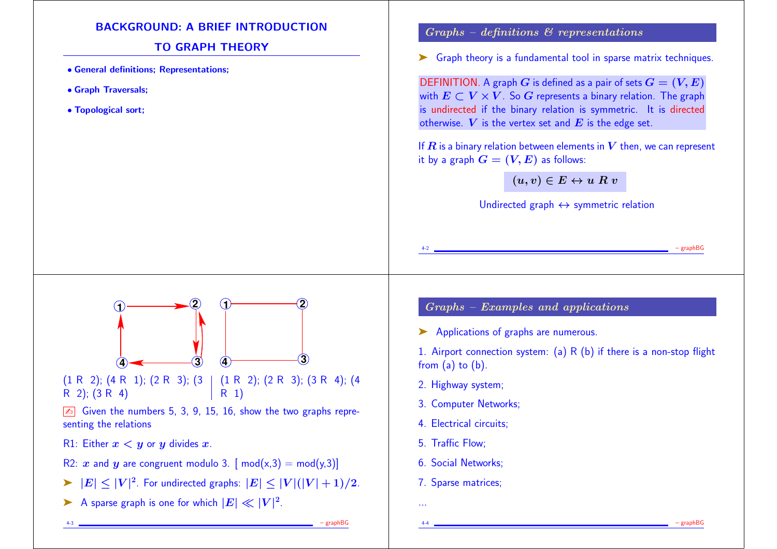## BACKGROUND: A BRIEF INTRODUCTION

## TO GRAPH THEORY

- General definitions; Representations;
- Graph Traversals;
- Topological sort;

### $Graphs - definitions & representations$

► Graph theory is a fundamental tool in sparse matrix techniques.

DEFINITION. A graph G is defined as a pair of sets  $G = (V, E)$ with  $E \subset V \times V$ . So G represents a binary relation. The graph is undirected if the binary relation is symmetric. It is directed otherwise.  $V$  is the vertex set and  $E$  is the edge set.

If  $R$  is a binary relation between elements in  $V$  then, we can represent it by a graph  $G = (V, E)$  as follows:

 $(u, v) \in E \leftrightarrow u R v$ 

Undirected graph  $\leftrightarrow$  symmetric relation

4-2 – graphBG



Given the numbers 5, 3, 9, 15, 16, show the two graphs representing the relations

R1: Either  $x < y$  or y divides x.

- R2: x and y are congruent modulo 3.  $\lceil \text{mod}(x,3) \rceil = \text{mod}(y,3)$
- $\blacktriangleright$   $|E| \leq |V|^2$ . For undirected graphs:  $|E| \leq |V|(|V|+1)/2$ .
- A sparse graph is one for which  $|E| \ll |V|^2$ .

# Graphs – Examples and applications

➤ Applications of graphs are numerous.

1. Airport connection system: (a)  $R$  (b) if there is a non-stop flight from (a) to (b).

4-4 – graphBG

- 2. Highway system;
- 3. Computer Networks;
- 4. Electrical circuits;
- 5. Traffic Flow;
- 6. Social Networks;
- 7. Sparse matrices;

...

4-3 – graphBG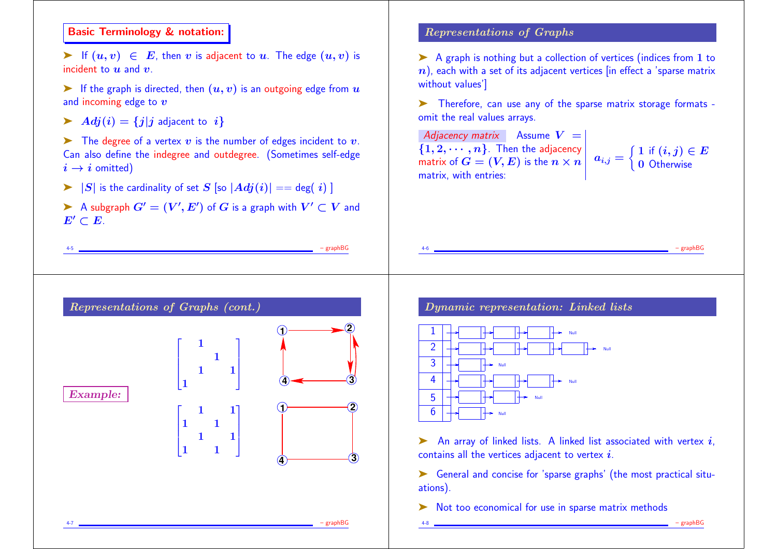# Basic Terminology & notation:

► If  $(u, v) \in E$ , then v is adjacent to u. The edge  $(u, v)$  is incident to  $u$  and  $v$ .

- $\blacktriangleright$  If the graph is directed, then  $(u, v)$  is an outgoing edge from  $u$ and incoming edge to  $v$
- Adj $(i) = \{j | j$  adjacent to  $i\}$

 $\triangleright$  The degree of a vertex v is the number of edges incident to v. Can also define the indegree and outdegree. (Sometimes self-edge  $i \rightarrow i$  omitted)

- $\triangleright$   $|S|$  is the cardinality of set S [so  $|Adj(i)| == deg(i)$  ]
- A subgraph  $G' = (V', E')$  of  $G$  is a graph with  $V' \subset V$  and  $E' \subset E$ .

4-5 – graphBG

## Representations of Graphs

➤ A graph is nothing but a collection of vertices (indices from 1 to  $n$ ), each with a set of its adjacent vertices [in effect a 'sparse matrix without values']

➤ Therefore, can use any of the sparse matrix storage formats omit the real values arrays.

4-6 – graphBG

Adjacency matrix Assume  $V =$  $\{1, 2, \cdots, n\}$ . Then the adjacency matrix of  $\boldsymbol{G} = (\boldsymbol{V}, \boldsymbol{E})$  is the  $n \times n \left| \right. \left. \begin{array}{l} a_{i,j} = \{1\} \end{array} \right.$ matrix, with entries:

 $\left\{ \left. \begin{array}{l l} 1 \text{ if } (i,j) \in E \end{array} \right. \right.$ 0 Otherwise

| <b>Example:</b> | $\begin{bmatrix} 1 \\ 1 \end{bmatrix}$<br>$\overline{1}$                         |             |
|-----------------|----------------------------------------------------------------------------------|-------------|
|                 | $\begin{array}{cc} 1 & 1 \\ & 1 & 1 \end{array}$<br>$\mathbf{1}$<br>$\mathbf{1}$ | 2<br>3<br>4 |

Dynamic representation: Linked lists



 $\triangleright$  An array of linked lists. A linked list associated with vertex i, contains all the vertices adjacent to vertex  $i$ .

➤ General and concise for 'sparse graphs' (the most practical situations).

4-8 – graphBG

➤ Not too economical for use in sparse matrix methods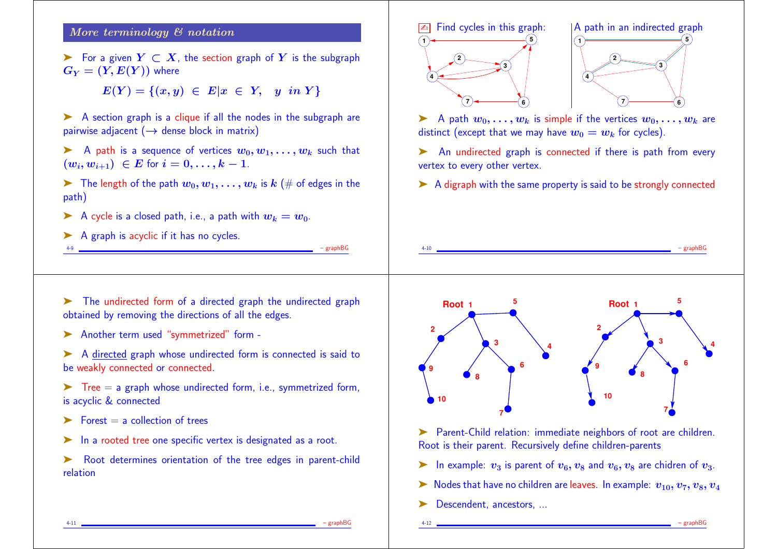## More terminology & notation

For a given  $Y \subset X$ , the section graph of Y is the subgraph  $G_Y = (Y, E(Y))$  where

 $E(Y) = \{(x, y) \in E | x \in Y, y \in Y\}$ 

▶ A section graph is a clique if all the nodes in the subgraph are pairwise adjacent  $(\rightarrow$  dense block in matrix)

A path is a sequence of vertices  $w_0, w_1, \ldots, w_k$  such that  $(w_i, w_{i+1}) \in E$  for  $i = 0, \ldots, k-1$ .

 $\triangleright$  The length of the path  $w_0, w_1, \ldots, w_k$  is  $k \neq 0$  edges in the path)

4-9 – graphBG

- A cycle is a closed path, i.e., a path with  $w_k = w_0$ .
- A graph is acyclic if it has no cycles.





A path  $w_0, \ldots, w_k$  is simple if the vertices  $w_0, \ldots, w_k$  are distinct (except that we may have  $w_0 = w_k$  for cycles).

➤ An undirected graph is connected if there is path from every vertex to every other vertex.

➤ A digraph with the same property is said to be strongly connected

4-10 – graphBG



▶ Another term used "symmetrized" form -

➤ A directed graph whose undirected form is connected is said to be weakly connected or connected.

- $\triangleright$  Tree = a graph whose undirected form, i.e., symmetrized form, is acyclic & connected
- $\blacktriangleright$  Forest  $=$  a collection of trees
- ► In a rooted tree one specific vertex is designated as a root.

➤ Root determines orientation of the tree edges in parent-child relation



➤ Parent-Child relation: immediate neighbors of root are children. Root is their parent. Recursively define children-parents

- ightharpoonup In example:  $v_3$  is parent of  $v_6$ ,  $v_8$  and  $v_6$ ,  $v_8$  are chidren of  $v_3$ .
- $\triangleright$  Nodes that have no children are leaves. In example:  $v_{10}, v_7, v_8, v_4$
- Descendent, ancestors, ...

4-11 – graphBG

4-12 – graphBG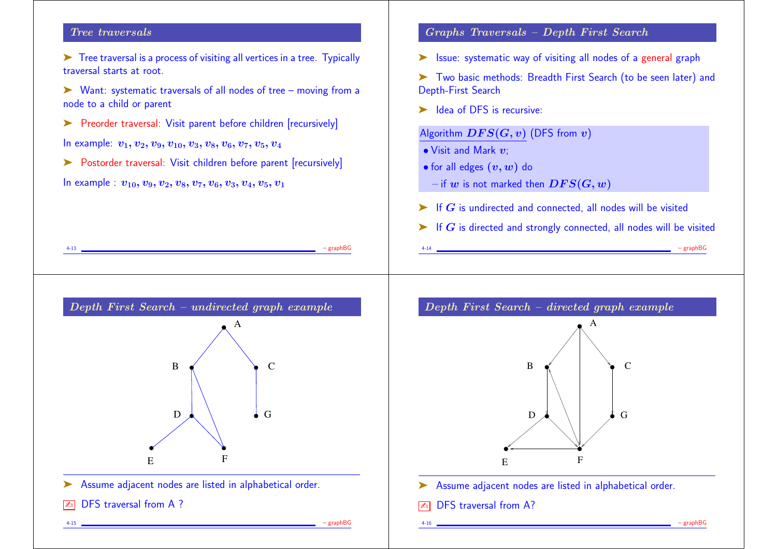## Tree traversals

- ➤ Tree traversal is a process of visiting all vertices in a tree. Typically traversal starts at root.
- ➤ Want: systematic traversals of all nodes of tree moving from a node to a child or parent

4-13 – graphBG

- ➤ Preorder traversal: Visit parent before children [recursively] In example:  $v_1, v_2, v_9, v_{10}, v_3, v_8, v_6, v_7, v_5, v_4$
- 
- ▶ Postorder traversal: Visit children before parent [recursively]

In example :  $v_{10}, v_9, v_2, v_8, v_7, v_6, v_3, v_4, v_5, v_1$ 

## Graphs Traversals – Depth First Search

- ➤ Issue: systematic way of visiting all nodes of a general graph
- ➤ Two basic methods: Breadth First Search (to be seen later) and Depth-First Search
- $\blacktriangleright$  Idea of DFS is recursive:

## Algorithm  $DFS(G, v)$  (DFS from  $v$ )

- $\bullet$  Visit and Mark  $v$ :
- for all edges  $(v, w)$  do
- $-$  if w is not marked then  $DFS(G, w)$
- $\triangleright$  If G is undirected and connected, all nodes will be visited
- $\triangleright$  If G is directed and strongly connected, all nodes will be visited

4-14 – graphBG







- ▶ Assume adjacent nodes are listed in alphabetical order.
- DFS traversal from A?

4-16 – graphBG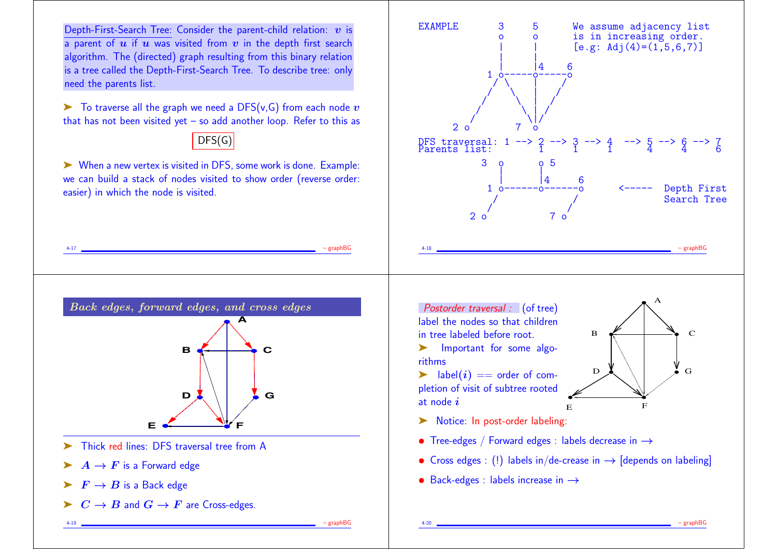Depth-First-Search Tree: Consider the parent-child relation:  $v$  is a parent of  $u$  if  $u$  was visited from  $v$  in the depth first search algorithm. The (directed) graph resulting from this binary relation is a tree called the Depth-First-Search Tree. To describe tree: only need the parents list.

 $\triangleright$  To traverse all the graph we need a DFS(v, G) from each node v that has not been visited yet – so add another loop. Refer to this as

# $\overline{DFS}(G)$

➤ When a new vertex is visited in DFS, some work is done. Example: we can build a stack of nodes visited to show order (reverse order: easier) in which the node is visited.

4-17 – graphBG





4-19 – graphBG

- ➤ Thick red lines: DFS traversal tree from A
- $\blacktriangleright$   $A \rightarrow F$  is a Forward edge
- $\blacktriangleright$   $\blacktriangleright$   $F \rightarrow B$  is a Back edge
- $\triangleright$   $C \rightarrow B$  and  $G \rightarrow F$  are Cross-edges.

Postorder traversal : (of tree) label the nodes so that children in tree labeled before root.

- ➤ Important for some algorithms
- $\blacktriangleright$  label $(i) ==$  order of completion of visit of subtree rooted at node  $i$



- ▶ Notice: In post-order labeling:
- Tree-edges / Forward edges : labels decrease in →
- Cross edges : (!) labels in/de-crease in  $\rightarrow$  [depends on labeling]

4-20 – graphBG

• Back-edges : labels increase in  $\rightarrow$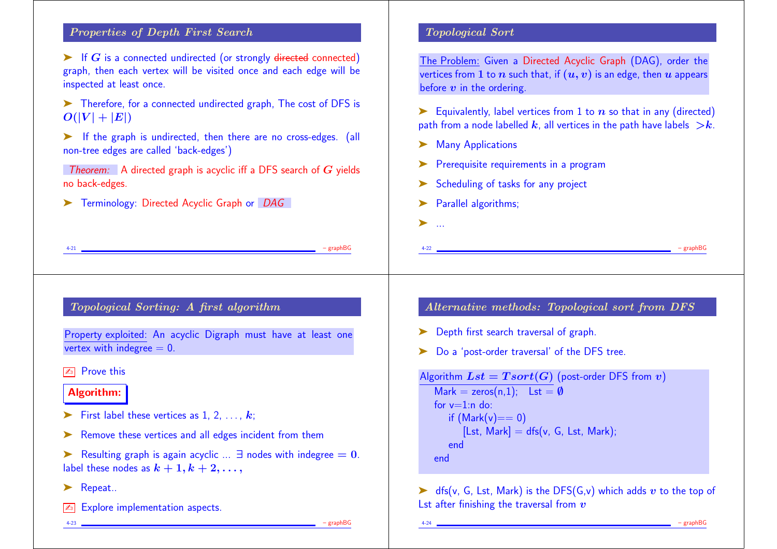## Properties of Depth First Search

 $\triangleright$  If G is a connected undirected (or strongly directed connected) graph, then each vertex will be visited once and each edge will be inspected at least once.

➤ Therefore, for a connected undirected graph, The cost of DFS is  $O(|V| + |E|)$ 

► If the graph is undirected, then there are no cross-edges. (all non-tree edges are called 'back-edges')

**Theorem:** A directed graph is acyclic iff a DFS search of  $G$  yields no back-edges.

➤ Terminology: Directed Acyclic Graph or DAG

### Topological Sort

The Problem: Given a Directed Acyclic Graph (DAG), order the vertices from 1 to *n* such that, if  $(u, v)$  is an edge, then *u* appears before  $v$  in the ordering.

Equivalently, label vertices from 1 to  $n$  so that in any (directed) path from a node labelled k, all vertices in the path have labels  $\ge k$ .

 $\triangleright$  dfs(v, G, Lst, Mark) is the DFS(G,v) which adds v to the top of

4-24 – graphBG

- **Many Applications**
- ➤ Prerequisite requirements in a program
- ➤ Scheduling of tasks for any project

Lst after finishing the traversal from  $v$ 

▶ Parallel algorithms;

➤ ...

end



Example 1 Resulting graph is again acyclic ...  $\exists$  nodes with indegree  $= 0$ . label these nodes as  $k + 1, k + 2, \ldots$ ,

- ▶ Repeat..
- $\sqrt{\alpha}$  Explore implementation aspects.

4-23 – graphBG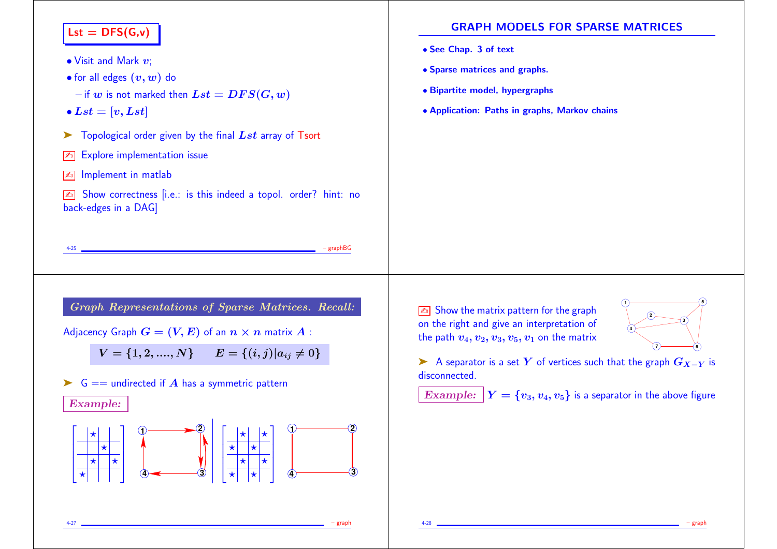| $\mathsf{Lst} = \mathsf{DFS}(G, v)$<br>$\bullet$ Visit and Mark $v$ ;<br>• for all edges $(v, w)$ do<br>$-$ if $w$ is not marked then $Lst = DFS(G, w)$<br>$\bullet$ Lst = [v, Lst]<br>Topological order given by the final $Lst$ array of Tsort<br><b>Explore implementation issue</b><br>$\mathbb{Z}_0$<br>Implement in matlab<br>$\mathbb{Z}_0$ | <b>GRAPH MODELS FOR SPARSE MATRICES</b><br>• See Chap. 3 of text<br>• Sparse matrices and graphs.<br>• Bipartite model, hypergraphs<br>• Application: Paths in graphs, Markov chains                                                                                 |
|----------------------------------------------------------------------------------------------------------------------------------------------------------------------------------------------------------------------------------------------------------------------------------------------------------------------------------------------------|----------------------------------------------------------------------------------------------------------------------------------------------------------------------------------------------------------------------------------------------------------------------|
| Show correctness [i.e.: is this indeed a topol. order? hint: no<br>$\mathbb{Z}_0$<br>back-edges in a DAG]<br>$-$ graph $BG$<br>$4 - 25$<br>Graph Representations of Sparse Matrices. Recall:                                                                                                                                                       | Show the matrix pattern for the graph                                                                                                                                                                                                                                |
| Adjacency Graph $G = (V, E)$ of an $n \times n$ matrix $A$ :<br>$V = \{1, 2, , N\}$ $E = \{(i, j)   a_{ij} \neq 0\}$<br>$G ==$ undirected if A has a symmetric pattern<br>➤<br><b>Example:</b><br>$\overline{\star}$ $\overline{\star}$<br>$ \star $                                                                                               | on the right and give an interpretation of<br>the path $v_4, v_2, v_3, v_5, v_1$ on the matrix<br>A separator is a set Y of vertices such that the graph $G_{X-Y}$ is<br>disconnected.<br><b>Example:</b> $Y = \{v_3, v_4, v_5\}$ is a separator in the above figure |

4-27 – graph

4-28 – graph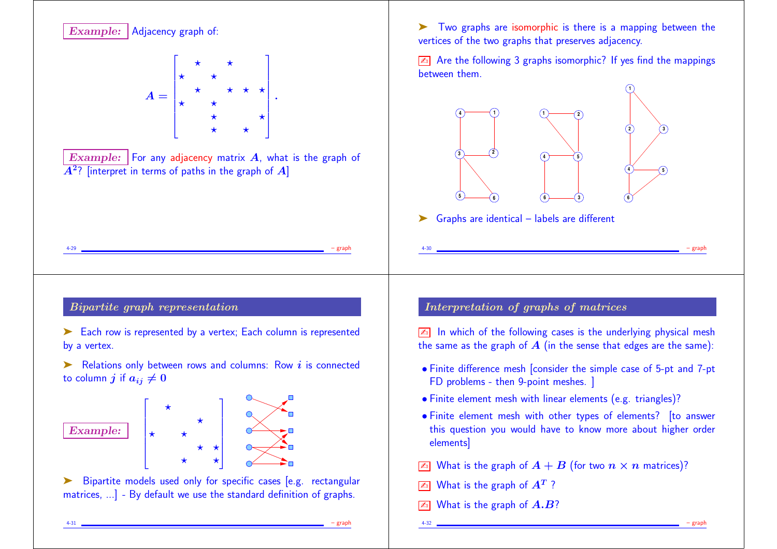

4-31 – graph

4-32 – graph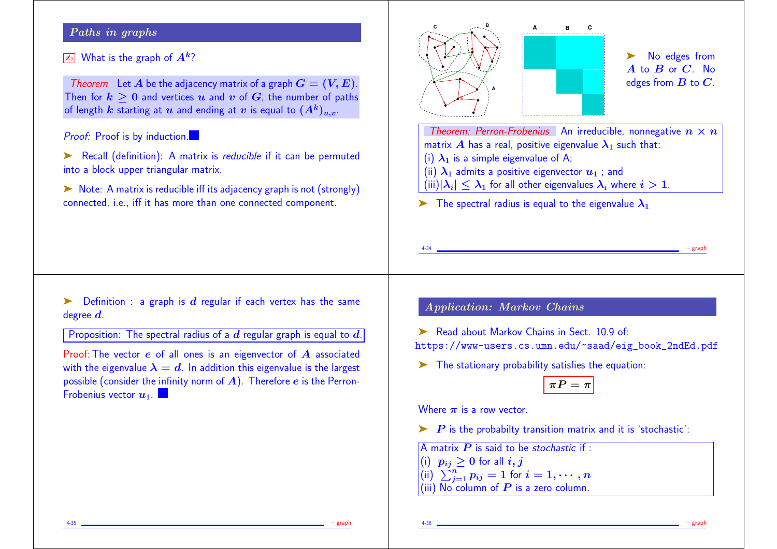## Paths in graphs

## $\sqrt{a_0}$  What is the graph of  $A^k$ ?

Theorem Let A be the adjacency matrix of a graph  $G = (V, E)$ . Then for  $k > 0$  and vertices u and v of G, the number of paths of length k starting at u and ending at v is equal to  $(A^k)_{u,v}$ .

### **Proof:** Proof is by induction.

- ➤ Recall (definition): A matrix is reducible if it can be permuted into a block upper triangular matrix.
- ► Note: A matrix is reducible iff its adjacency graph is not (strongly) connected, i.e., iff it has more than one connected component.



# No edges from  $\overline{A}$  to  $\overline{B}$  or  $\overline{C}$ . No edges from  $B$  to  $C$ .

Theorem: Perron-Frobenius An irreducible, nonnegative  $n \times n$ matrix A has a real, positive eigenvalue  $\lambda_1$  such that: (i)  $\lambda_1$  is a simple eigenvalue of A; (ii)  $\lambda_1$  admits a positive eigenvector  $u_1$ ; and  $(iii)|\lambda_i| \leq \lambda_1$  for all other eigenvalues  $\lambda_i$  where  $i > 1$ .

**A B C**

 $\triangleright$  The spectral radius is equal to the eigenvalue  $\lambda_1$ 

 $\triangleright$  Definition : a graph is d regular if each vertex has the same degree  $d$ .

Proposition: The spectral radius of a  $d$  regular graph is equal to  $d$ .

Proof: The vector e of all ones is an eigenvector of A associated with the eigenvalue  $\lambda = d$ . In addition this eigenvalue is the largest possible (consider the infinity norm of  $A$ ). Therefore  $e$  is the Perron-Frobenius vector  $\boldsymbol{u}_1$ .

## Application: Markov Chains

➤ Read about Markov Chains in Sect. 10.9 of: https://www-users.cs.umn.edu/~saad/eig\_book\_2ndEd.pdf

4-34 – graph

 $\blacktriangleright$  The stationary probability satisfies the equation:

# $\pi P = \pi$

Where  $\pi$  is a row vector.

 $\triangleright$  P is the probabilty transition matrix and it is 'stochastic':

A matrix  $P$  is said to be stochastic if :  $(i)$   $p_{ij} \geq 0$  for all  $i, j$  $\left(\mathsf{ii}\right)\ \textstyle\sum_{j=1}^n p_{ij}=1$  for  $i=1,\cdots,n$ (iii)  $\overline{\text{No}}$  column of  $\overline{\text{P}}$  is a zero column.